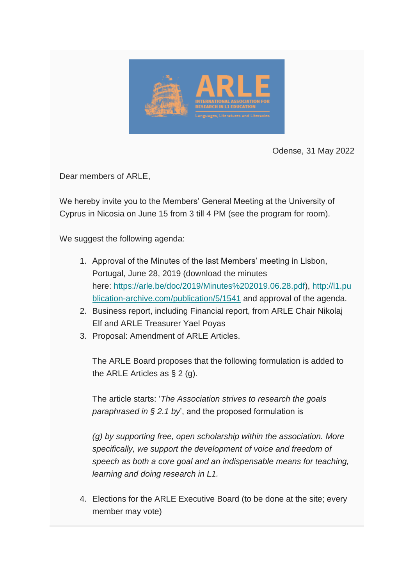

Odense, 31 May 2022

Dear members of ARLE,

We hereby invite you to the Members' General Meeting at the University of Cyprus in Nicosia on June 15 from 3 till 4 PM (see the program for room).

We suggest the following agenda:

- 1. Approval of the Minutes of the last Members' meeting in Lisbon, Portugal, June 28, 2019 (download the minutes here: https://arle.be/doc/2019/Minutes%202019.06.28.pdf), [http://l1.pu](https://arle.us4.list-manage.com/track/click?u=e60ca9461c1d84627d19a6631&id=4b5fc39941&e=8b2cb9c57f) [blication-archive.com/publication/5/1541](https://arle.us4.list-manage.com/track/click?u=e60ca9461c1d84627d19a6631&id=4b5fc39941&e=8b2cb9c57f) and approval of the agenda.
- 2. Business report, including Financial report, from ARLE Chair Nikolaj Elf and ARLE Treasurer Yael Poyas
- 3. Proposal: Amendment of ARLE Articles.

The ARLE Board proposes that the following formulation is added to the ARLE Articles as  $\S 2$  (g).

The article starts: '*The Association strives to research the goals paraphrased in § 2.1 by*', and the proposed formulation is

*(g) by supporting free, open scholarship within the association. More specifically, we support the development of voice and freedom of speech as both a core goal and an indispensable means for teaching, learning and doing research in L1.*

4. Elections for the ARLE Executive Board (to be done at the site; every member may vote)